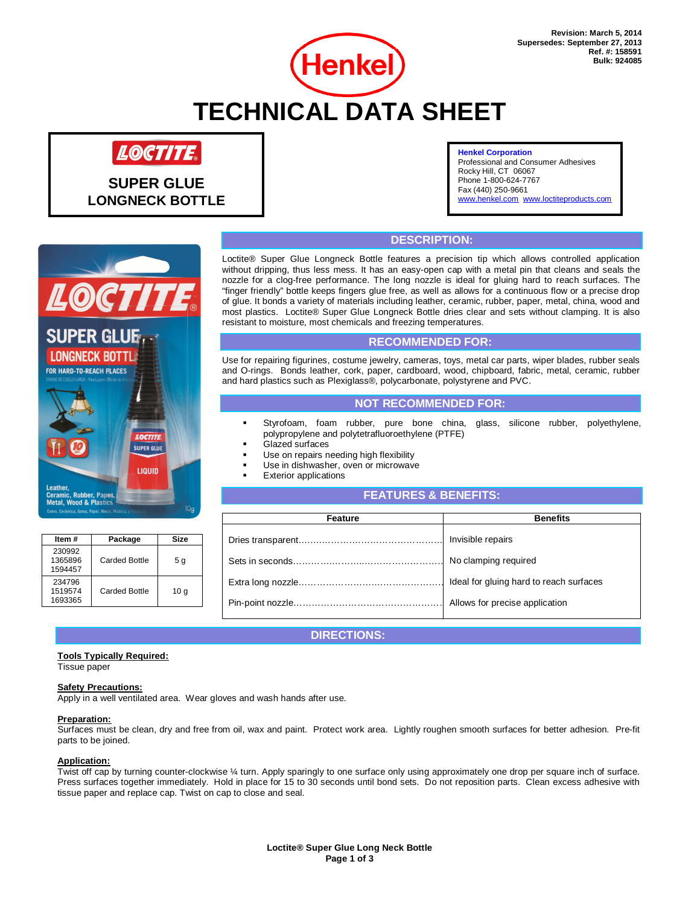

# LOCTITE

**SUPER GLUE LONGNECK BOTTLE** 

#### **Henkel Corporation**

Professional and Consumer Adhesives Rocky Hill, CT 06067 Phone 1-800-624-7767 Fax (440) 250-9661 el.com www.loctiteproducts.com



## **DESCRIPTION:**

Loctite® Super Glue Longneck Bottle features a precision tip which allows controlled application without dripping, thus less mess. It has an easy-open cap with a metal pin that cleans and seals the nozzle for a clog-free performance. The long nozzle is ideal for gluing hard to reach surfaces. The "finger friendly" bottle keeps fingers glue free, as well as allows for a continuous flow or a precise drop of glue. It bonds a variety of materials including leather, ceramic, rubber, paper, metal, china, wood and most plastics. Loctite® Super Glue Longneck Bottle dries clear and sets without clamping. It is also resistant to moisture, most chemicals and freezing temperatures.

## **RECOMMENDED FOR:**

Use for repairing figurines, costume jewelry, cameras, toys, metal car parts, wiper blades, rubber seals and O-rings. Bonds leather, cork, paper, cardboard, wood, chipboard, fabric, metal, ceramic, rubber and hard plastics such as Plexiglass®, polycarbonate, polystyrene and PVC.

## **NOT RECOMMENDED FOR:**

- Styrofoam, foam rubber, pure bone china, glass, silicone rubber, polyethylene, polypropylene and polytetrafluoroethylene (PTFE)
- Glazed surfaces
- Use on repairs needing high flexibility
- Use in dishwasher, oven or microwave
- Exterior applications

## **FEATURES & BENEFITS:**

| Feature | <b>Benefits</b> |  |
|---------|-----------------|--|
|         |                 |  |
|         |                 |  |
|         |                 |  |
|         |                 |  |

## **DIRECTIONS:**

## **Tools Typically Required:**

**Item # Package Size** 

Carded Bottle  $\begin{array}{|c|} 5g \end{array}$ 

Carded Bottle 10 g

Tissue paper

230992 1365896 1594457

234796 1519574 1693365

#### **Safety Precautions:**

Apply in a well ventilated area. Wear gloves and wash hands after use.

#### **Preparation:**

Surfaces must be clean, dry and free from oil, wax and paint. Protect work area. Lightly roughen smooth surfaces for better adhesion. Pre-fit parts to be joined.

#### **Application:**

Twist off cap by turning counter-clockwise ¼ turn. Apply sparingly to one surface only using approximately one drop per square inch of surface. Press surfaces together immediately. Hold in place for 15 to 30 seconds until bond sets. Do not reposition parts. Clean excess adhesive with tissue paper and replace cap. Twist on cap to close and seal.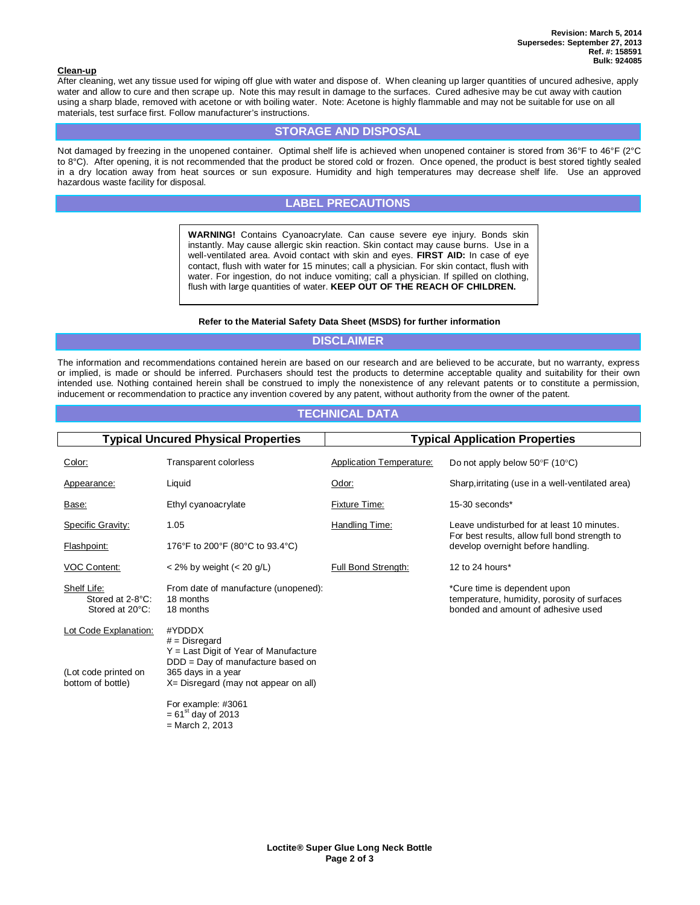#### **Clean-up**

j

After cleaning, wet any tissue used for wiping off glue with water and dispose of. When cleaning up larger quantities of uncured adhesive, apply water and allow to cure and then scrape up. Note this may result in damage to the surfaces. Cured adhesive may be cut away with caution using a sharp blade, removed with acetone or with boiling water. Note: Acetone is highly flammable and may not be suitable for use on all materials, test surface first. Follow manufacturer's instructions.

## **STORAGE AND DISPOSAL**

Not damaged by freezing in the unopened container. Optimal shelf life is achieved when unopened container is stored from 36°F to 46°F (2°C to 8°C). After opening, it is not recommended that the product be stored cold or frozen. Once opened, the product is best stored tightly sealed in a dry location away from heat sources or sun exposure. Humidity and high temperatures may decrease shelf life. Use an approved hazardous waste facility for disposal.

## **LABEL PRECAUTIONS**

**WARNING!** Contains Cyanoacrylate. Can cause severe eye injury. Bonds skin instantly. May cause allergic skin reaction. Skin contact may cause burns. Use in a well-ventilated area. Avoid contact with skin and eyes. **FIRST AID:** In case of eye contact, flush with water for 15 minutes; call a physician. For skin contact, flush with water. For ingestion, do not induce vomiting; call a physician. If spilled on clothing, flush with large quantities of water. **KEEP OUT OF THE REACH OF CHILDREN.**

#### **Refer to the Material Safety Data Sheet (MSDS) for further information**

## **DISCLAIMER**

The information and recommendations contained herein are based on our research and are believed to be accurate, but no warranty, express or implied, is made or should be inferred. Purchasers should test the products to determine acceptable quality and suitability for their own intended use. Nothing contained herein shall be construed to imply the nonexistence of any relevant patents or to constitute a permission, inducement or recommendation to practice any invention covered by any patent, without authority from the owner of the patent.

### **TECHNICAL DATA**

| <b>Typical Uncured Physical Properties</b>                         |                                                                                                                                                                         | <b>Typical Application Properties</b> |                                                                                                                   |  |
|--------------------------------------------------------------------|-------------------------------------------------------------------------------------------------------------------------------------------------------------------------|---------------------------------------|-------------------------------------------------------------------------------------------------------------------|--|
| Color:                                                             | Transparent colorless                                                                                                                                                   | <b>Application Temperature:</b>       | Do not apply below $50^{\circ}$ F (10 $^{\circ}$ C)                                                               |  |
| Appearance:                                                        | Liquid                                                                                                                                                                  | Odor:                                 | Sharp, irritating (use in a well-ventilated area)                                                                 |  |
| Base:                                                              | Ethyl cyanoacrylate                                                                                                                                                     | Fixture Time:                         | $15-30$ seconds*                                                                                                  |  |
| Specific Gravity:                                                  | 1.05                                                                                                                                                                    | Handling Time:                        | Leave undisturbed for at least 10 minutes.                                                                        |  |
| Flashpoint:                                                        | 176°F to 200°F (80°C to 93.4°C)                                                                                                                                         |                                       | For best results, allow full bond strength to<br>develop overnight before handling.                               |  |
| <b>VOC Content:</b>                                                | $<$ 2% by weight ( $<$ 20 g/L)                                                                                                                                          | <b>Full Bond Strength:</b>            | 12 to 24 hours $*$                                                                                                |  |
| Shelf Life:<br>Stored at 2-8°C:<br>Stored at 20°C:                 | From date of manufacture (unopened):<br>18 months<br>18 months                                                                                                          |                                       | *Cure time is dependent upon<br>temperature, humidity, porosity of surfaces<br>bonded and amount of adhesive used |  |
| Lot Code Explanation:<br>(Lot code printed on<br>bottom of bottle) | #YDDDX<br>$#$ = Disregard<br>$Y =$ Last Digit of Year of Manufacture<br>DDD = Day of manufacture based on<br>365 days in a year<br>X= Disregard (may not appear on all) |                                       |                                                                                                                   |  |
|                                                                    | For example: #3061<br>$= 61^{st}$ day of 2013<br>$=$ March 2, 2013                                                                                                      |                                       |                                                                                                                   |  |